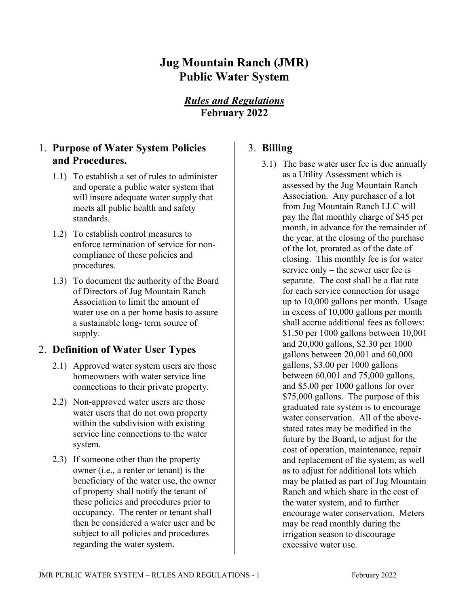# **Jug Mountain Ranch (JMR) Public Water System**

## *Rules and Regulations* **February 2022**

## 1. **Purpose of Water System Policies and Procedures.**

- 1.1) To establish a set of rules to administer and operate a public water system that will insure adequate water supply that meets all public health and safety standards.
- 1.2) To establish control measures to enforce termination of service for noncompliance of these policies and procedures.
- 1.3) To document the authority of the Board of Directors of Jug Mountain Ranch Association to limit the amount of water use on a per home basis to assure a sustainable long- term source of supply.

### 2. **Definition of Water User Types**

- 2.1) Approved water system users are those homeowners with water service line connections to their private property.
- 2.2) Non-approved water users are those water users that do not own property within the subdivision with existing service line connections to the water system.
- 2.3) If someone other than the property owner (i.e., a renter or tenant) is the beneficiary of the water use, the owner of property shall notify the tenant of these policies and procedures prior to occupancy. The renter or tenant shall then be considered a water user and be subject to all policies and procedures regarding the water system.

## 3. **Billing**

3.1) The base water user fee is due annually as a Utility Assessment which is assessed by the Jug Mountain Ranch Association. Any purchaser of a lot from Jug Mountain Ranch LLC will pay the flat monthly charge of \$45 per month, in advance for the remainder of the year, at the closing of the purchase of the lot, prorated as of the date of closing. This monthly fee is for water service only – the sewer user fee is separate. The cost shall be a flat rate for each service connection for usage up to 10,000 gallons per month. Usage in excess of 10,000 gallons per month shall accrue additional fees as follows: \$1.50 per 1000 gallons between 10,001 and 20,000 gallons, \$2.30 per 1000 gallons between 20,001 and 60,000 gallons, \$3.00 per 1000 gallons between 60,001 and 75,000 gallons, and \$5.00 per 1000 gallons for over \$75,000 gallons. The purpose of this graduated rate system is to encourage water conservation. All of the abovestated rates may be modified in the future by the Board, to adjust for the cost of operation, maintenance, repair and replacement of the system, as well as to adjust for additional lots which may be platted as part of Jug Mountain Ranch and which share in the cost of the water system, and to further encourage water conservation. Meters may be read monthly during the irrigation season to discourage excessive water use.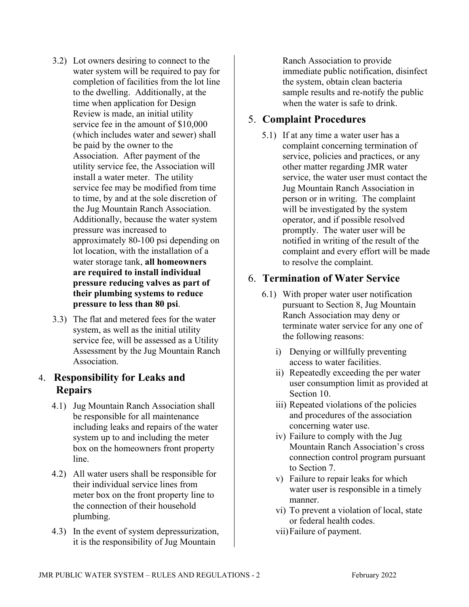- 3.2) Lot owners desiring to connect to the water system will be required to pay for completion of facilities from the lot line to the dwelling. Additionally, at the time when application for Design Review is made, an initial utility service fee in the amount of \$10,000 (which includes water and sewer) shall be paid by the owner to the Association. After payment of the utility service fee, the Association will install a water meter. The utility service fee may be modified from time to time, by and at the sole discretion of the Jug Mountain Ranch Association. Additionally, because the water system pressure was increased to approximately 80-100 psi depending on lot location, with the installation of a water storage tank, **all homeowners are required to install individual pressure reducing valves as part of their plumbing systems to reduce pressure to less than 80 psi**.
- 3.3) The flat and metered fees for the water system, as well as the initial utility service fee, will be assessed as a Utility Assessment by the Jug Mountain Ranch Association.

### 4. **Responsibility for Leaks and Repairs**

- 4.1) Jug Mountain Ranch Association shall be responsible for all maintenance including leaks and repairs of the water system up to and including the meter box on the homeowners front property line.
- 4.2) All water users shall be responsible for their individual service lines from meter box on the front property line to the connection of their household plumbing.
- 4.3) In the event of system depressurization, it is the responsibility of Jug Mountain

Ranch Association to provide immediate public notification, disinfect the system, obtain clean bacteria sample results and re-notify the public when the water is safe to drink.

## 5. **Complaint Procedures**

5.1) If at any time a water user has a complaint concerning termination of service, policies and practices, or any other matter regarding JMR water service, the water user must contact the Jug Mountain Ranch Association in person or in writing. The complaint will be investigated by the system operator, and if possible resolved promptly. The water user will be notified in writing of the result of the complaint and every effort will be made to resolve the complaint.

### 6. **Termination of Water Service**

- 6.1) With proper water user notification pursuant to Section 8, Jug Mountain Ranch Association may deny or terminate water service for any one of the following reasons:
	- i) Denying or willfully preventing access to water facilities.
	- ii) Repeatedly exceeding the per water user consumption limit as provided at Section 10.
	- iii) Repeated violations of the policies and procedures of the association concerning water use.
	- iv) Failure to comply with the Jug Mountain Ranch Association's cross connection control program pursuant to Section 7.
	- v) Failure to repair leaks for which water user is responsible in a timely manner.
	- vi) To prevent a violation of local, state or federal health codes.
	- vii)Failure of payment.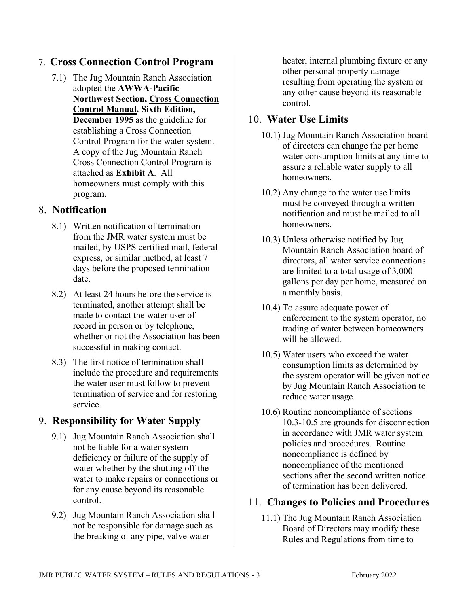### 7. **Cross Connection Control Program**

7.1) The Jug Mountain Ranch Association adopted the **AWWA-Pacific Northwest Section, Cross Connection Control Manual. Sixth Edition, December 1995** as the guideline for establishing a Cross Connection Control Program for the water system. A copy of the Jug Mountain Ranch Cross Connection Control Program is attached as **Exhibit A**. All homeowners must comply with this program.

### 8. **Notification**

- 8.1) Written notification of termination from the JMR water system must be mailed, by USPS certified mail, federal express, or similar method, at least 7 days before the proposed termination date.
- 8.2) At least 24 hours before the service is terminated, another attempt shall be made to contact the water user of record in person or by telephone, whether or not the Association has been successful in making contact.
- 8.3) The first notice of termination shall include the procedure and requirements the water user must follow to prevent termination of service and for restoring service.

## 9. **Responsibility for Water Supply**

- 9.1) Jug Mountain Ranch Association shall not be liable for a water system deficiency or failure of the supply of water whether by the shutting off the water to make repairs or connections or for any cause beyond its reasonable control.
- 9.2) Jug Mountain Ranch Association shall not be responsible for damage such as the breaking of any pipe, valve water

heater, internal plumbing fixture or any other personal property damage resulting from operating the system or any other cause beyond its reasonable control.

## 10. **Water Use Limits**

- 10.1) Jug Mountain Ranch Association board of directors can change the per home water consumption limits at any time to assure a reliable water supply to all homeowners.
- 10.2) Any change to the water use limits must be conveyed through a written notification and must be mailed to all homeowners.
- 10.3) Unless otherwise notified by Jug Mountain Ranch Association board of directors, all water service connections are limited to a total usage of 3,000 gallons per day per home, measured on a monthly basis.
- 10.4) To assure adequate power of enforcement to the system operator, no trading of water between homeowners will be allowed.
- 10.5) Water users who exceed the water consumption limits as determined by the system operator will be given notice by Jug Mountain Ranch Association to reduce water usage.
- 10.6) Routine noncompliance of sections 10.3-10.5 are grounds for disconnection in accordance with JMR water system policies and procedures. Routine noncompliance is defined by noncompliance of the mentioned sections after the second written notice of termination has been delivered.

### 11. **Changes to Policies and Procedures**

11.1) The Jug Mountain Ranch Association Board of Directors may modify these Rules and Regulations from time to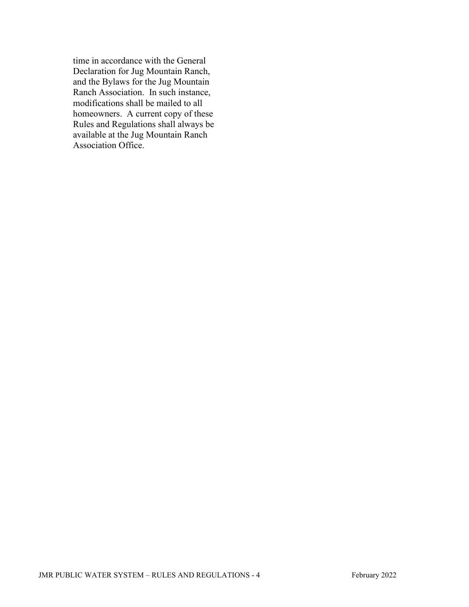time in accordance with the General Declaration for Jug Mountain Ranch, and the Bylaws for the Jug Mountain Ranch Association. In such instance, modifications shall be mailed to all homeowners. A current copy of these Rules and Regulations shall always be available at the Jug Mountain Ranch Association Office.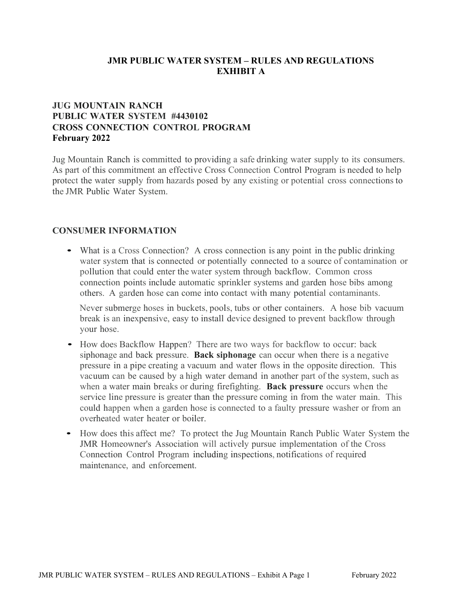#### **JMR PUBLIC WATER SYSTEM – RULES AND REGULATIONS EXHIBIT A**

#### **JUG MOUNTAIN RANCH PUBLIC WATER SYSTEM #4430102 CROSS CONNECTION CONTROL PROGRAM February 2022**

Jug Mountain Ranch is committed to providing a safe drinking water supply to its consumers. As part of this commitment an effective Cross Connection Control Program is needed to help protect the water supply from hazards posed by any existing or potential cross connections to the JMR Public Water System.

#### **CONSUMER INFORMATION**

• What is <sup>a</sup> Cross Connection? A cross connection is any point in the public drinking water system that is connected or potentially connected to a source of contamination or pollution that could enter the water system through backflow. Common cross connection points include automatic sprinkler systems and garden hose bibs among others. A garden hose can come into contact with many potential contaminants.

Never submerge hoses in buckets, pools, tubs or other containers. A hose bib vacuum break is an inexpensive, easy to install device designed to prevent backflow through your hose.

- How does Backflow Happen? There are two ways for backflow to occur: back siphonage and back pressure. **Back siphonage** can occur when there is a negative pressure in a pipe creating a vacuum and water flows in the opposite direction. This vacuum can be caused by a high water demand in another part of the system, such as when a water main breaks or during firefighting. **Back pressure** occurs when the service line pressure is greater than the pressure coming in from the water main. This could happen when a garden hose is connected to a faulty pressure washer or from an overheated water heater or boiler.
- How does this affect me? To protect the Jug Mountain Ranch Public Water System the JMR Homeowner's Association will actively pursue implementation of the Cross Connection Control Program including inspections, notifications of required maintenance, and enforcement.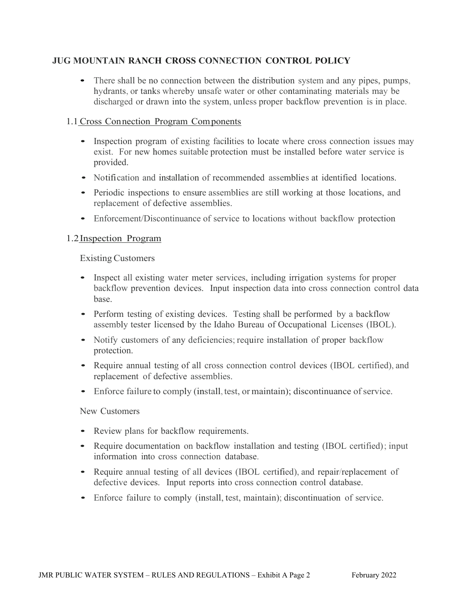#### **JUG MOUNTAIN RANCH CROSS CONNECTION CONTROL POLICY**

• There shall be no connection between the distribution system and any pipes, pumps, hydrants, or tanks whereby unsafe water or other contaminating materials may be discharged or drawn into the system, unless proper backflow prevention is in place.

#### 1.1 Cross Connection Program Components

- Inspection program of existing facilities to locate where cross connection issues may exist. For new homes suitable protection must be installed before water service is provided.
- Notification and installation of recommended assemblies at identified locations.
- Periodic inspections to ensure assemblies are still working at those locations, and replacement of defective assemblies.
- Enforcement/Discontinuance of service to locations without backflow protection

#### 1.2Inspection Program

#### Existing Customers

- Inspect all existing water meter services, including irrigation systems for proper backflow prevention devices. Input inspection data into cross connection control data base.
- Perform testing of existing devices. Testing shall be performed by a backflow assembly tester licensed by the Idaho Bureau of Occupational Licenses (IBOL).
- Notify customers of any deficiencies; require installation of proper backflow protection.
- Require annual testing of all cross connection control devices (IBOL certified), and replacement of defective assemblies.
- Enforce failure to comply (install, test, or maintain); discontinuance of service.

#### New Customers

- Review plans for backflow requirements.
- Require documentation on backflow installation and testing (IBOL certified); input information into cross connection database.
- Require annual testing of all devices (IBOL certified), and repair/replacement of defective devices. Input reports into cross connection control database.
- Enforce failure to comply (install, test, maintain); discontinuation of service.